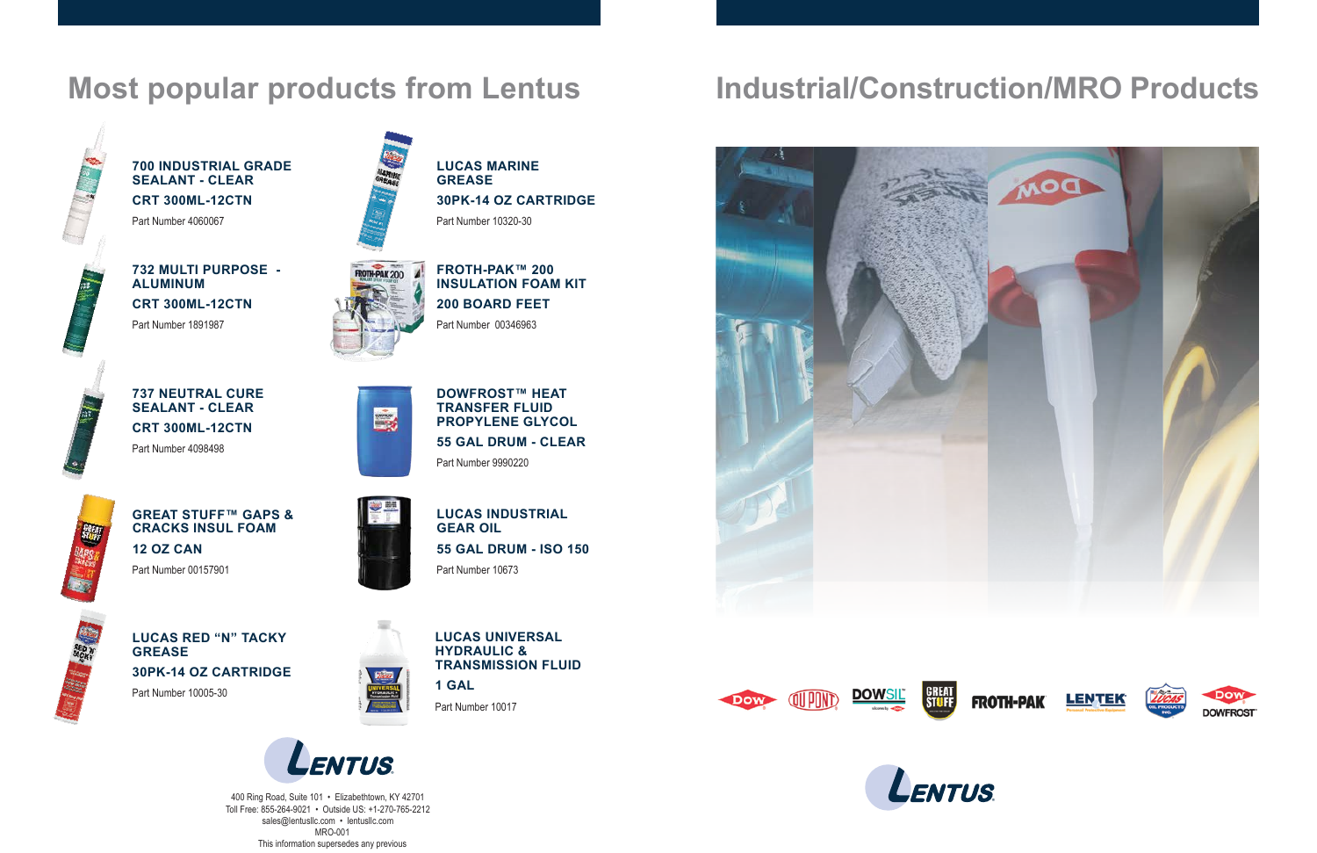# **Most popular products from Lentus Industrial/Construction/MRO Products**



# **700 INDUSTRIAL GRADE SEALANT - CLEAR CRT 300ML-12CTN**

Part Number 4060067

**732 MULTI PURPOSE - ALUMINUM CRT 300ML-12CTN** Part Number 1891987

# **GREAT STUFF™ GAPS & CRACKS INSUL FOAM**

**12 OZ CAN** Part Number 00157901



**FROTH-PAK™ 200 INSULATION FOAM KIT 200 BOARD FEET** Part Number 00346963

**LUCAS MARINE** 

**GREASE**



**30PK-14 OZ CARTRIDGE**

Part Number 10320-30

400 Ring Road, Suite 101 • Elizabethtown, KY 42701 Toll Free: 855-264-9021 • Outside US: +1-270-765-2212 sales@lentusllc.com • lentusllc.com MRO-001 This information supersedes any previous







**LUCAS INDUSTRIAL GEAR OIL 55 GAL DRUM - ISO 150** Part Number 10673



# **LUCAS RED "N" TACKY GREASE 30PK-14 OZ CARTRIDGE**

Part Number 10005-30





# **LUCAS UNIVERSAL HYDRAULIC & TRANSMISSION FLUID 1 GAL** Part Number 10017



**DOWFROST™ HEAT TRANSFER FLUID PROPYLENE GLYCOL 55 GAL DRUM - CLEAR** Part Number 9990220









# **FROTH-PAK**